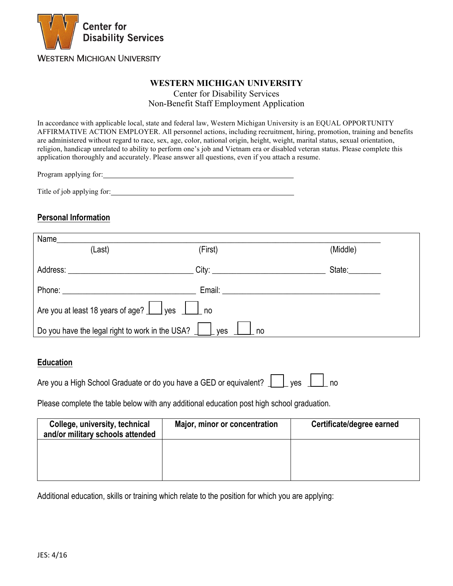

#### **WESTERN MICHIGAN UNIVERSITY**

Center for Disability Services Non-Benefit Staff Employment Application

In accordance with applicable local, state and federal law, Western Michigan University is an EQUAL OPPORTUNITY AFFIRMATIVE ACTION EMPLOYER. All personnel actions, including recruitment, hiring, promotion, training and benefits are administered without regard to race, sex, age, color, national origin, height, weight, marital status, sexual orientation, religion, handicap unrelated to ability to perform one's job and Vietnam era or disabled veteran status. Please complete this application thoroughly and accurately. Please answer all questions, even if you attach a resume.

| Program applying for: |  |
|-----------------------|--|
|                       |  |

Title of job applying for:

# **Personal Information**

| Name                                                                |         |          |  |
|---------------------------------------------------------------------|---------|----------|--|
| (Last)                                                              | (First) | (Middle) |  |
|                                                                     |         | State:   |  |
|                                                                     | Email:  |          |  |
| Are you at least 18 years of age? <u>I</u> yes <b>I</b> and         |         |          |  |
| Do you have the legal right to work in the USA? $\Box$<br>yes<br>no |         |          |  |

### **Education**

Are you a High School Graduate or do you have a GED or equivalent?  $\|\cdot\|$  yes  $\|\cdot\|$  no

Please complete the table below with any additional education post high school graduation.

| College, university, technical<br>and/or military schools attended | Major, minor or concentration | Certificate/degree earned |
|--------------------------------------------------------------------|-------------------------------|---------------------------|
|                                                                    |                               |                           |
|                                                                    |                               |                           |

Additional education, skills or training which relate to the position for which you are applying: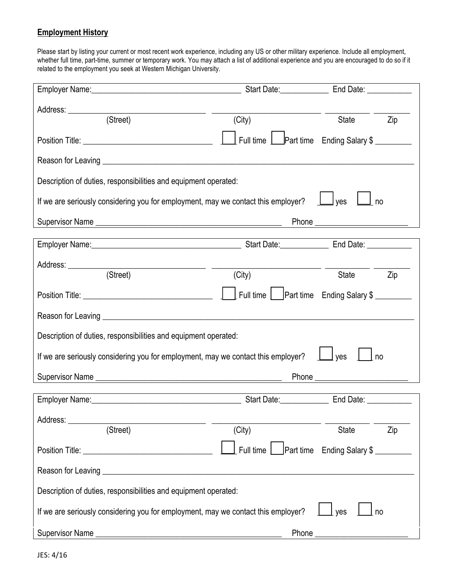# **Employment History**

Please start by listing your current or most recent work experience, including any US or other military experience. Include all employment, whether full time, part-time, summer or temporary work. You may attach a list of additional experience and you are encouraged to do so if it related to the employment you seek at Western Michigan University.

|                                                                                                                                                                                                                                      |                     | Start Date: ________________________ End Date: _________________________________ |  |
|--------------------------------------------------------------------------------------------------------------------------------------------------------------------------------------------------------------------------------------|---------------------|----------------------------------------------------------------------------------|--|
|                                                                                                                                                                                                                                      |                     |                                                                                  |  |
| (Street)                                                                                                                                                                                                                             | (City)              | State<br>Zip                                                                     |  |
|                                                                                                                                                                                                                                      |                     | Full time   Part time Ending Salary \$                                           |  |
| Reason for Leaving <u>entitled and the contract of the contract of the contract of the contract of the contract of the contract of the contract of the contract of the contract of the contract of the contract of the contract </u> |                     |                                                                                  |  |
| Description of duties, responsibilities and equipment operated:                                                                                                                                                                      |                     |                                                                                  |  |
| If we are seriously considering you for employment, may we contact this employer? $\Box$ yes $\Box$ no                                                                                                                               |                     |                                                                                  |  |
|                                                                                                                                                                                                                                      |                     |                                                                                  |  |
|                                                                                                                                                                                                                                      |                     |                                                                                  |  |
|                                                                                                                                                                                                                                      |                     |                                                                                  |  |
| (Street)                                                                                                                                                                                                                             | $\overline{(City)}$ | Zip<br>State                                                                     |  |
|                                                                                                                                                                                                                                      |                     |                                                                                  |  |
|                                                                                                                                                                                                                                      |                     |                                                                                  |  |
| Description of duties, responsibilities and equipment operated:                                                                                                                                                                      |                     |                                                                                  |  |
| If we are seriously considering you for employment, may we contact this employer? $\Box$ yes<br>l no                                                                                                                                 |                     |                                                                                  |  |
| Supervisor Name                                                                                                                                                                                                                      |                     |                                                                                  |  |
|                                                                                                                                                                                                                                      |                     |                                                                                  |  |
| Address:                                                                                                                                                                                                                             |                     |                                                                                  |  |
| (Street)                                                                                                                                                                                                                             | (City)              | <b>State</b><br>Zip                                                              |  |
|                                                                                                                                                                                                                                      | Full time           | Part time Ending Salary \$                                                       |  |
|                                                                                                                                                                                                                                      |                     |                                                                                  |  |
| Description of duties, responsibilities and equipment operated:                                                                                                                                                                      |                     |                                                                                  |  |
| If we are seriously considering you for employment, may we contact this employer?<br>no<br>yes                                                                                                                                       |                     |                                                                                  |  |
|                                                                                                                                                                                                                                      |                     |                                                                                  |  |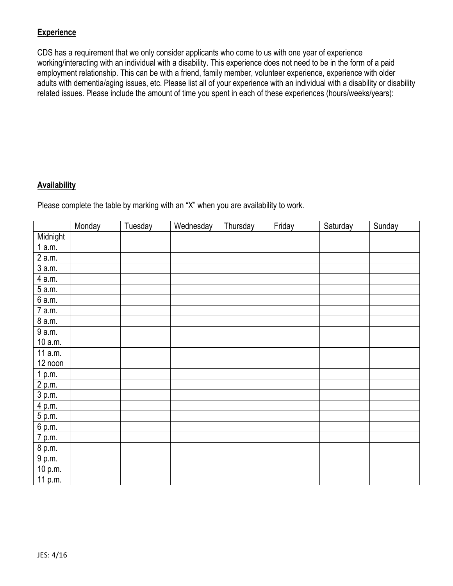# **Experience**

CDS has a requirement that we only consider applicants who come to us with one year of experience working/interacting with an individual with a disability. This experience does not need to be in the form of a paid employment relationship. This can be with a friend, family member, volunteer experience, experience with older adults with dementia/aging issues, etc. Please list all of your experience with an individual with a disability or disability related issues. Please include the amount of time you spent in each of these experiences (hours/weeks/years):

# **Availability**

Please complete the table by marking with an "X" when you are availability to work.

|                      | Monday | Tuesday | Wednesday | Thursday | Friday | Saturday | Sunday |
|----------------------|--------|---------|-----------|----------|--------|----------|--------|
| Midnight             |        |         |           |          |        |          |        |
| 1a.m.                |        |         |           |          |        |          |        |
| $2$ a.m.             |        |         |           |          |        |          |        |
| 3 a.m.               |        |         |           |          |        |          |        |
| 4 a.m.               |        |         |           |          |        |          |        |
| 5 a.m.               |        |         |           |          |        |          |        |
| 6a.m.                |        |         |           |          |        |          |        |
| 7 a.m.               |        |         |           |          |        |          |        |
| 8 a.m.               |        |         |           |          |        |          |        |
| 9 a.m.               |        |         |           |          |        |          |        |
| 10 a.m.              |        |         |           |          |        |          |        |
| 11 a.m.              |        |         |           |          |        |          |        |
| $\overline{1}2$ noon |        |         |           |          |        |          |        |
| 1 p.m.               |        |         |           |          |        |          |        |
| $\overline{2}$ p.m.  |        |         |           |          |        |          |        |
| 3 p.m.               |        |         |           |          |        |          |        |
| $\overline{4}$ p.m.  |        |         |           |          |        |          |        |
| 5 p.m.               |        |         |           |          |        |          |        |
| $\overline{6}$ p.m.  |        |         |           |          |        |          |        |
| $\overline{7}$ p.m.  |        |         |           |          |        |          |        |
| 8 p.m.               |        |         |           |          |        |          |        |
| $\overline{9}$ p.m.  |        |         |           |          |        |          |        |
| 10 p.m.              |        |         |           |          |        |          |        |
| 11 p.m.              |        |         |           |          |        |          |        |